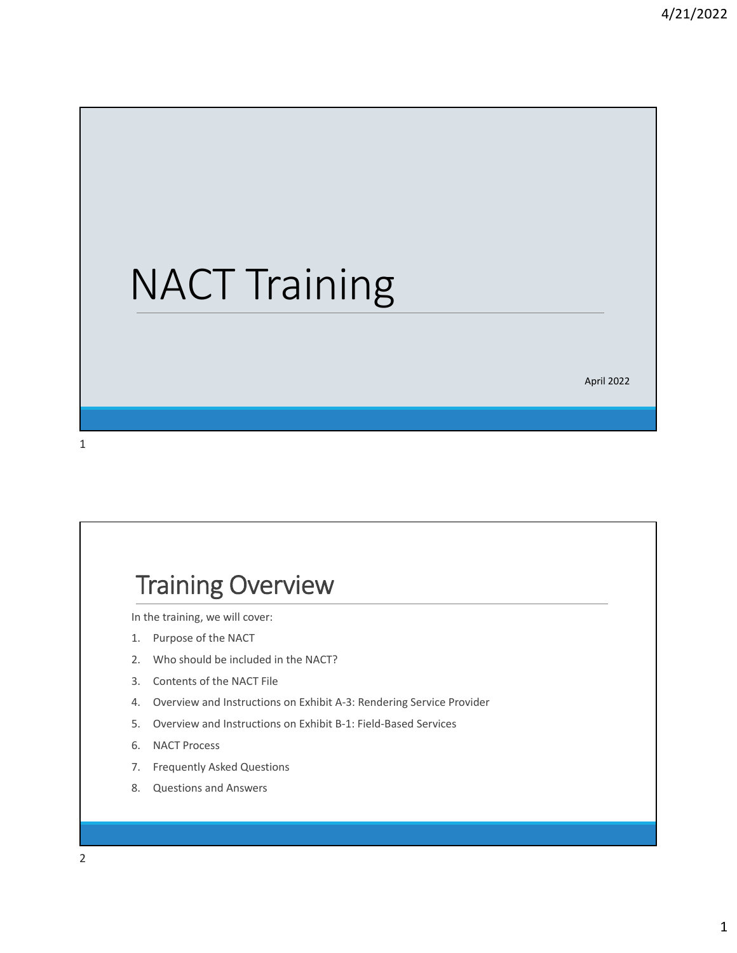# NACT Training

April 2022

#### 1

### Training Overview

In the training, we will cover:

- 1. Purpose of the NACT
- 2. Who should be included in the NACT?
- 3. Contents of the NACT File
- 4. Overview and Instructions on Exhibit A‐3: Rendering Service Provider
- 5. Overview and Instructions on Exhibit B‐1: Field‐Based Services
- 6. NACT Process
- 7. Frequently Asked Questions
- 8. Questions and Answers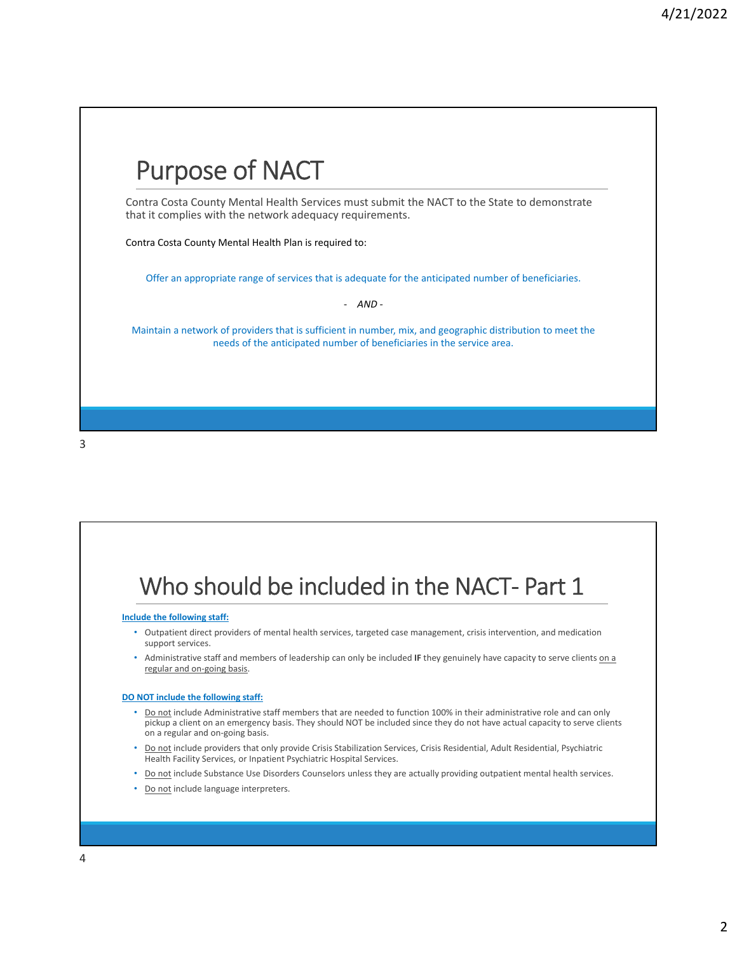

#### Who should be included in the NACT- Part 1 **Include the following staff:** • Outpatient direct providers of mental health services, targeted case management, crisis intervention, and medication support services. • Administrative staff and members of leadership can only be included **IF** they genuinely have capacity to serve clients on a regular and on‐going basis. **DO NOT include the following staff:** • Do not include Administrative staff members that are needed to function 100% in their administrative role and can only pickup a client on an emergency basis. They should NOT be included since they do not have actual capacity to serve clients on a regular and on‐going basis. • Do not include providers that only provide Crisis Stabilization Services, Crisis Residential, Adult Residential, Psychiatric Health Facility Services, or Inpatient Psychiatric Hospital Services. • Do not include Substance Use Disorders Counselors unless they are actually providing outpatient mental health services.

• Do not include language interpreters.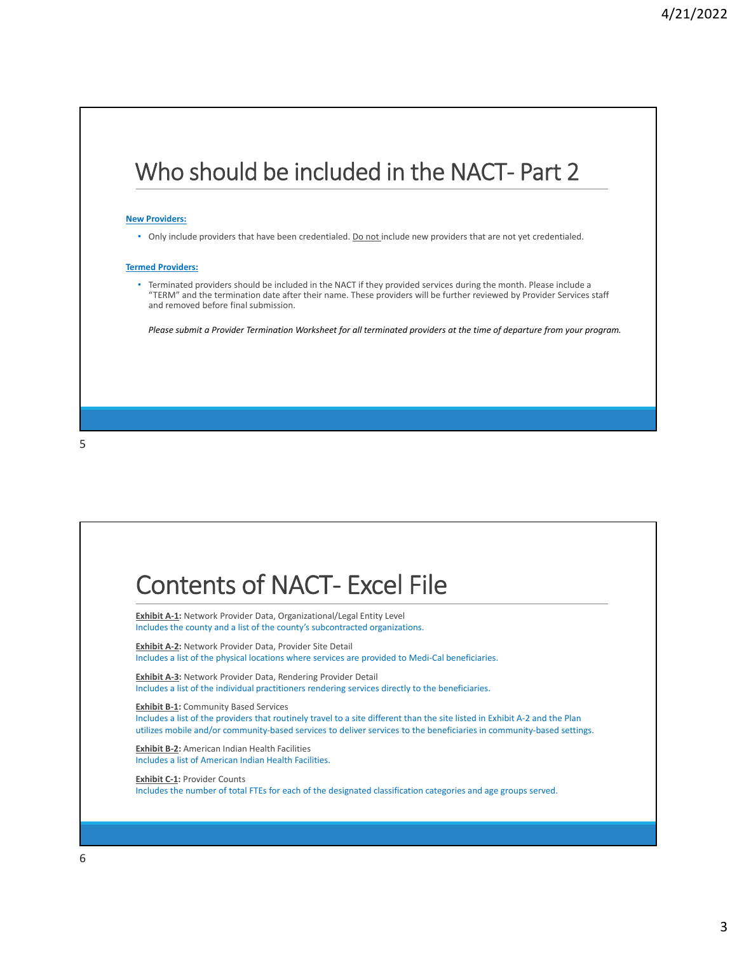### Who should be included in the NACT- Part 2

#### **New Providers:**

• Only include providers that have been credentialed. Do not include new providers that are not yet credentialed.

#### **Termed Providers:**

• Terminated providers should be included in the NACT if they provided services during the month. Please include a "TERM" and the termination date after their name. These providers will be further reviewed by Provider Services staff and removed before final submission.

Please submit a Provider Termination Worksheet for all terminated providers at the time of departure from your program.

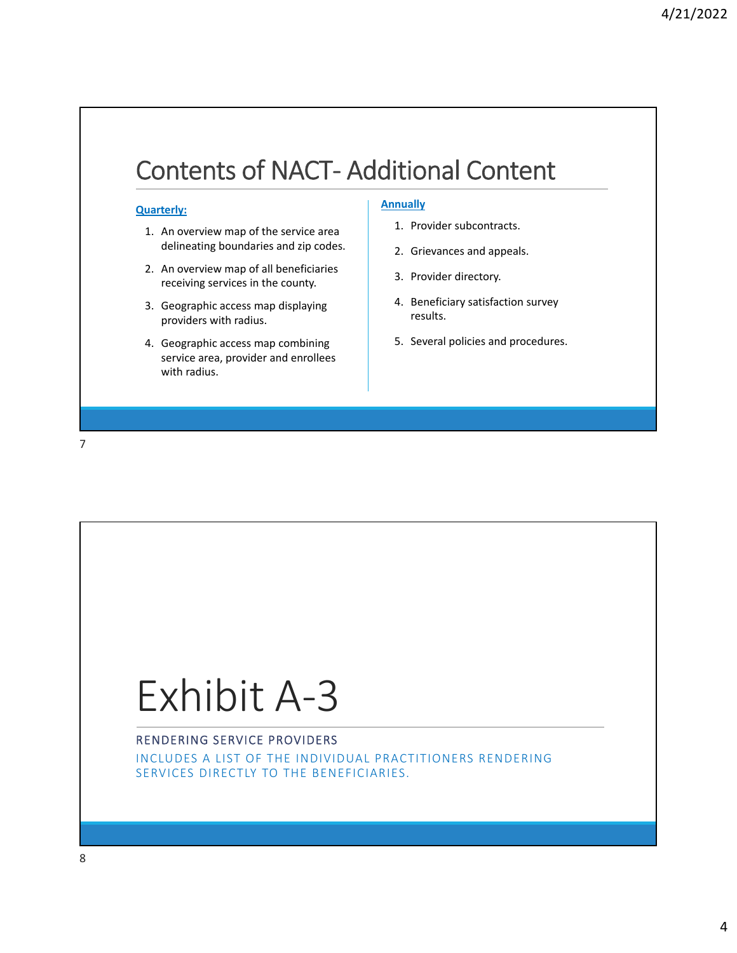### Contents of NACT‐ Additional Content

#### **Quarterly:**

- 1. An overview map of the service area delineating boundaries and zip codes.
- 2. An overview map of all beneficiaries receiving services in the county.
- 3. Geographic access map displaying providers with radius.
- 4. Geographic access map combining service area, provider and enrollees with radius.

#### **Annually**

- 1. Provider subcontracts.
- 2. Grievances and appeals.
- 3. Provider directory.
- 4. Beneficiary satisfaction survey results.
- 5. Several policies and procedures.

7

## Exhibit A‐3

#### RENDERING SERVICE PROVIDERS

INCLUDES A LIST OF THE INDIVIDUAL PRACTITIONERS RENDERING SERVICES DIRECTLY TO THE BENEFICIARIES.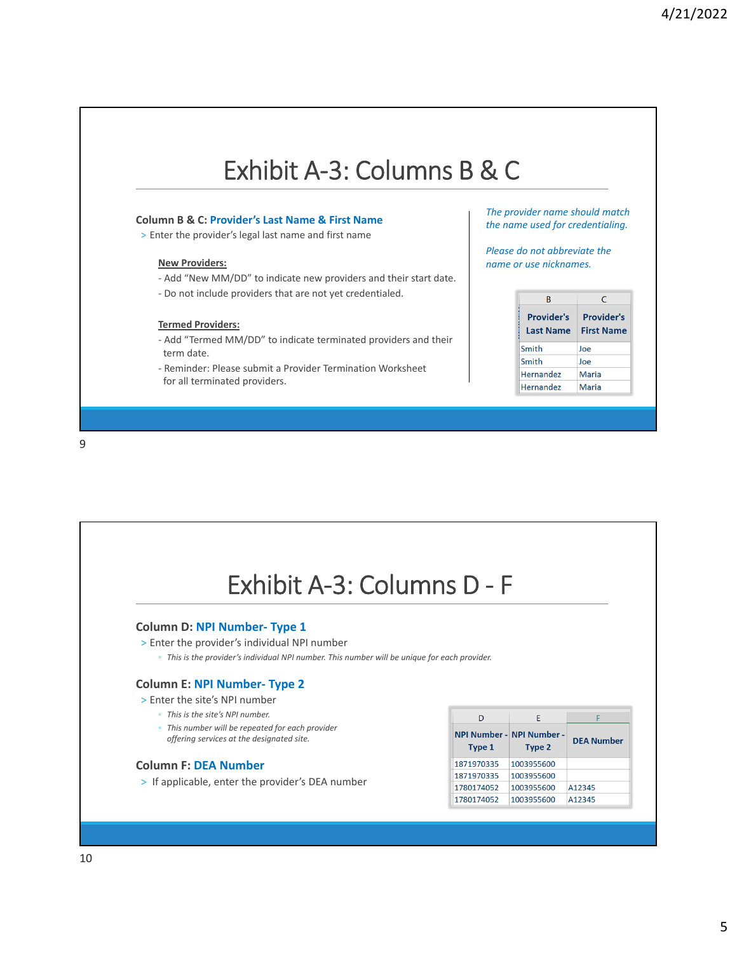### Exhibit A‐3: Columns B & C

#### **Column B & C: Provider's Last Name & First Name**

> Enter the provider's legal last name and first name

#### **New Providers:**

- ‐ Add "New MM/DD" to indicate new providers and their start date.
- ‐ Do not include providers that are not yet credentialed.

#### **Termed Providers:**

- ‐ Add "Termed MM/DD" to indicate terminated providers and their term date.
- ‐ Reminder: Please submit a Provider Termination Worksheet for all terminated providers.

*The provider name should match the name used for credentialing.*

*Please do not abbreviate the name or use nicknames.*

| R                                     | C<br><b>Provider's</b><br><b>First Name</b> |  |  |
|---------------------------------------|---------------------------------------------|--|--|
| <b>Provider's</b><br><b>Last Name</b> |                                             |  |  |
| Smith                                 | Joe                                         |  |  |
| Smith                                 | Joe                                         |  |  |
| Hernandez                             | Maria                                       |  |  |
| <b>Hernandez</b>                      | Maria                                       |  |  |

Exhibit A‐3: Columns D ‐ F

#### **Column D: NPI Number‐ Type 1**

- > Enter the provider's individual NPI number
	- *This is the provider's individual NPI number. This number will be unique for each provider.*

#### **Column E: NPI Number‐ Type 2**

- > Enter the site's NPI number
	- *This is the site's NPI number.*
	- *This number will be repeated for each provider offering services at the designated site.*

#### **Column F: DEA Number**

> If applicable, enter the provider's DEA number

|            | F                                   |                   |  |
|------------|-------------------------------------|-------------------|--|
| Type 1     | NPI Number - NPI Number -<br>Type 2 | <b>DEA Number</b> |  |
| 1871970335 | 1003955600                          |                   |  |
| 1871970335 | 1003955600                          |                   |  |
| 1780174052 | 1003955600                          | A12345            |  |
| 1780174052 | 1003955600                          | A12345            |  |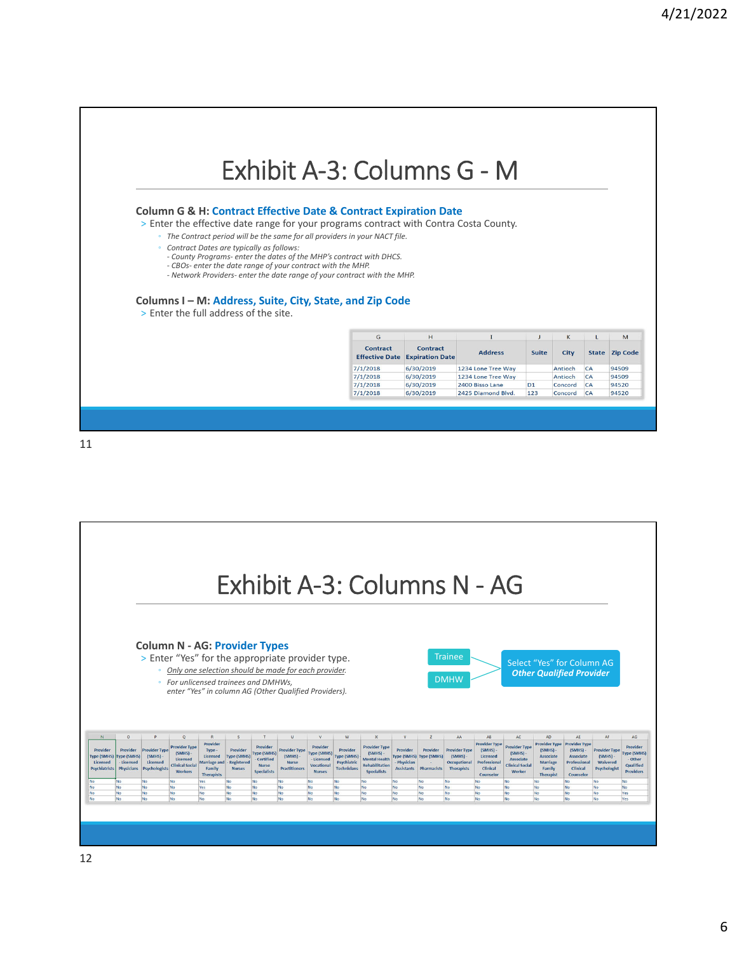### Exhibit A‐3: Columns G ‐ M

#### **Column G & H: Contract Effective Date & Contract Expiration Date**

> Enter the effective date range for your programs contract with Contra Costa County.

- *The Contract period will be the same for all providers in your NACT file.*
	- *Contract Dates are typically as follows:*
	- *‐ County Programs‐ enter the dates of the MHP's contract with DHCS.*
	- CBOs- enter the date range of your contract with the MHP.<br>- Network Providers- enter the date range of your contract with the MHP.

#### **Columns I – M: Address, Suite, City, State, and Zip Code** > Enter the full address of the site.

| G<br>H<br><b>Contract</b><br><b>Contract</b><br><b>Effective Date</b><br><b>Expiration Date</b> | <b>Address</b> | <b>Suite</b>       | K<br><b>City</b> | <b>State</b> | M<br><b>Zip Code</b> |          |
|-------------------------------------------------------------------------------------------------|----------------|--------------------|------------------|--------------|----------------------|----------|
|                                                                                                 |                |                    |                  |              |                      | 7/1/2018 |
| 7/1/2018                                                                                        | 6/30/2019      | 1234 Lone Tree Way |                  | Antioch      | CA                   | 94509    |
| 7/1/2018                                                                                        | 6/30/2019      | 2400 Bisso Lane    | D <sub>1</sub>   | Concord      | CA                   | 94520    |
| 7/1/2018                                                                                        | 6/30/2019      | 2425 Diamond Blvd. | 123              | Concord      | CA                   | 94520    |

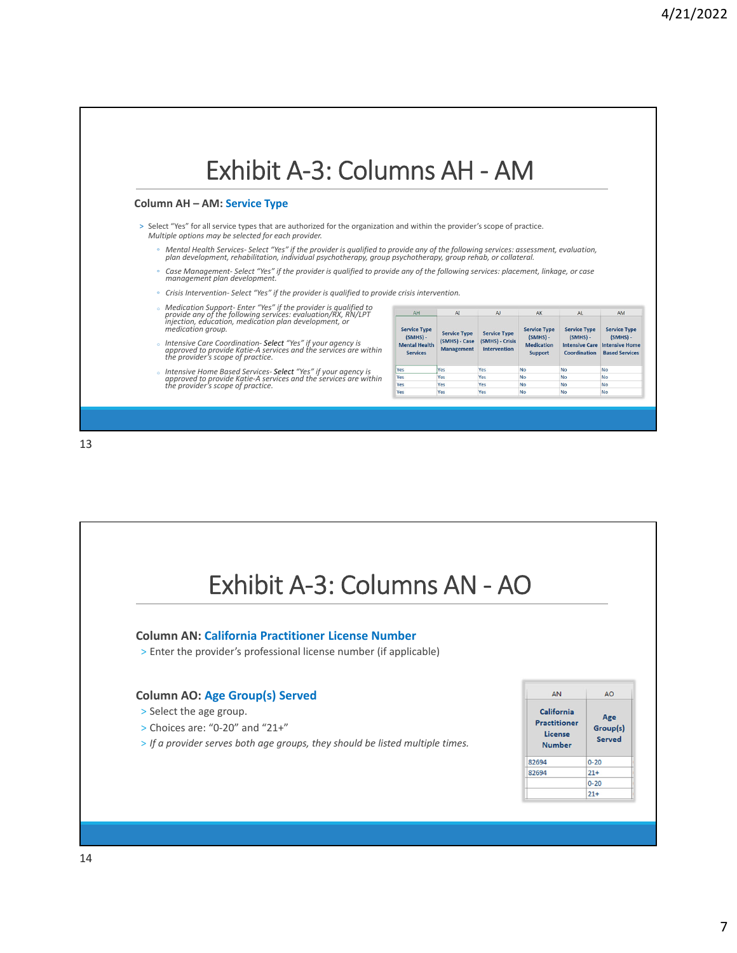

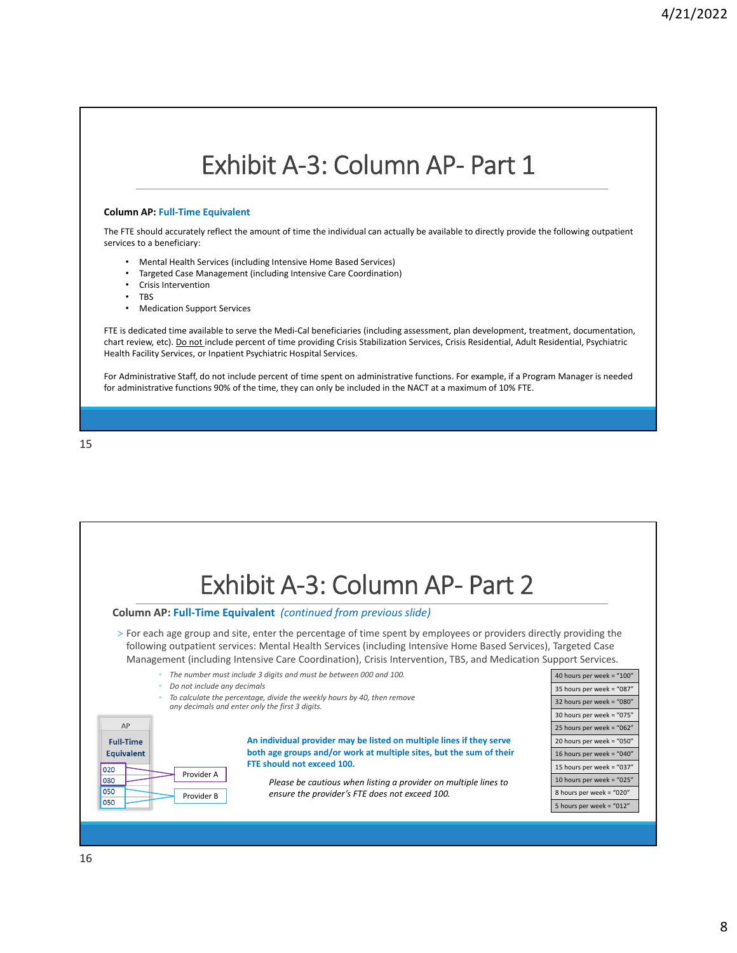### Exhibit A‐3: Column AP‐ Part 1

#### **Column AP: Full‐Time Equivalent**

The FTE should accurately reflect the amount of time the individual can actually be available to directly provide the following outpatient services to a beneficiary:

- Mental Health Services (including Intensive Home Based Services)
- Targeted Case Management (including Intensive Care Coordination)
- Crisis Intervention
- TBS
- Medication Support Services

FTE is dedicated time available to serve the Medi-Cal beneficiaries (including assessment, plan development, treatment, documentation, chart review, etc). Do not include percent of time providing Crisis Stabilization Services, Crisis Residential, Adult Residential, Psychiatric Health Facility Services, or Inpatient Psychiatric Hospital Services.

For Administrative Staff, do not include percent of time spent on administrative functions. For example, if a Program Manager is needed for administrative functions 90% of the time, they can only be included in the NACT at a maximum of 10% FTE.



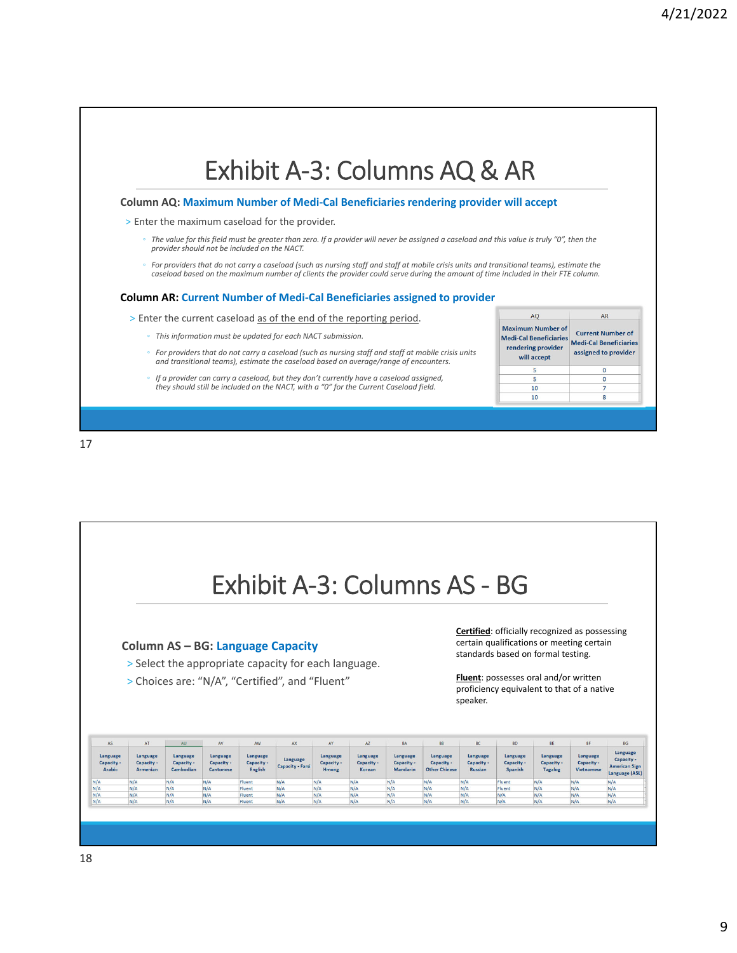

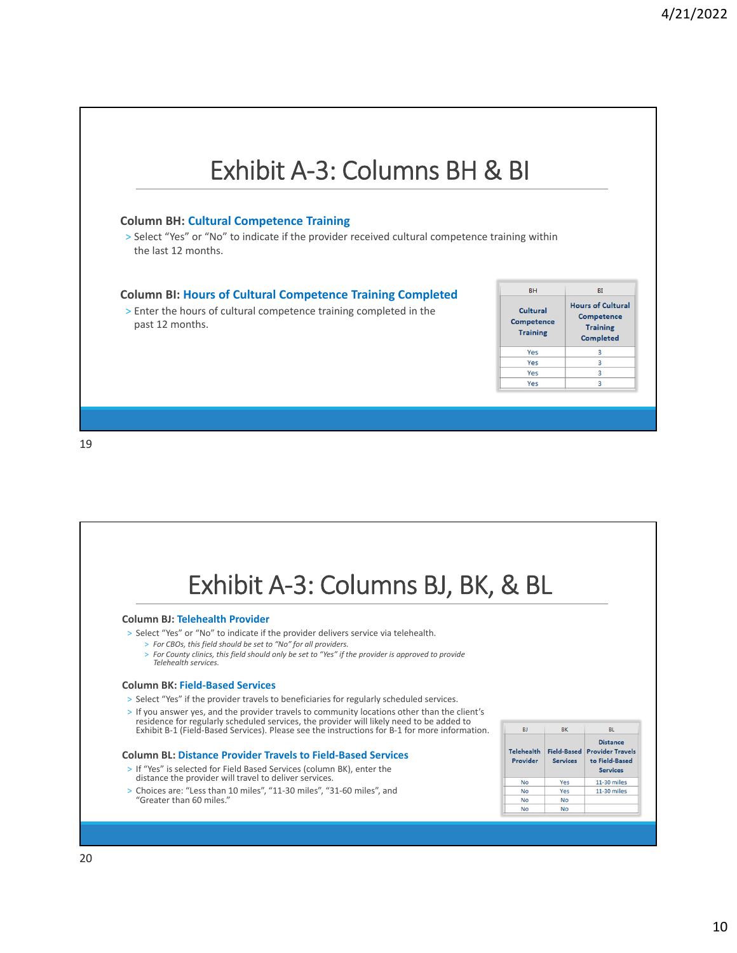

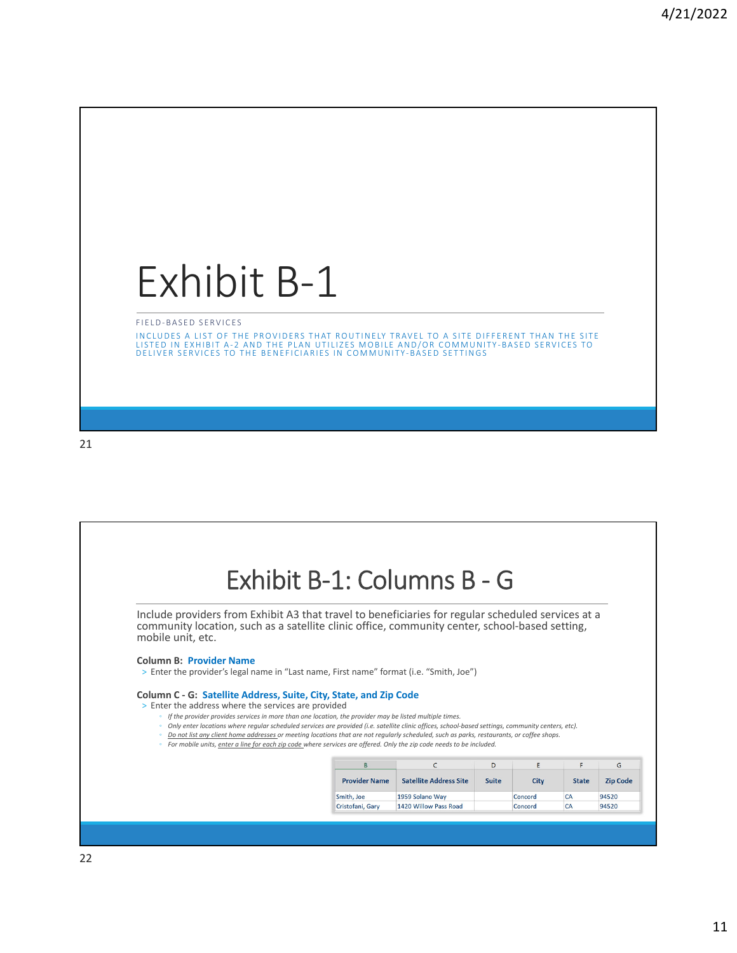## Exhibit B‐1

FIELD‐ BASED SERVICES

INCLUDES A LIST OF THE PROVIDERS THAT ROUTINELY TRAVEL TO A SITE DIFFERENT THAN THE SITE<br>LISTED IN EXHIBIT A-2 AND THE PLAN UTILIZES MOBILE AND/OR COMMUNITY-BASED SERVICES TO<br>DELIVER SERVICES TO THE BENEFICIARIES IN COMMUN

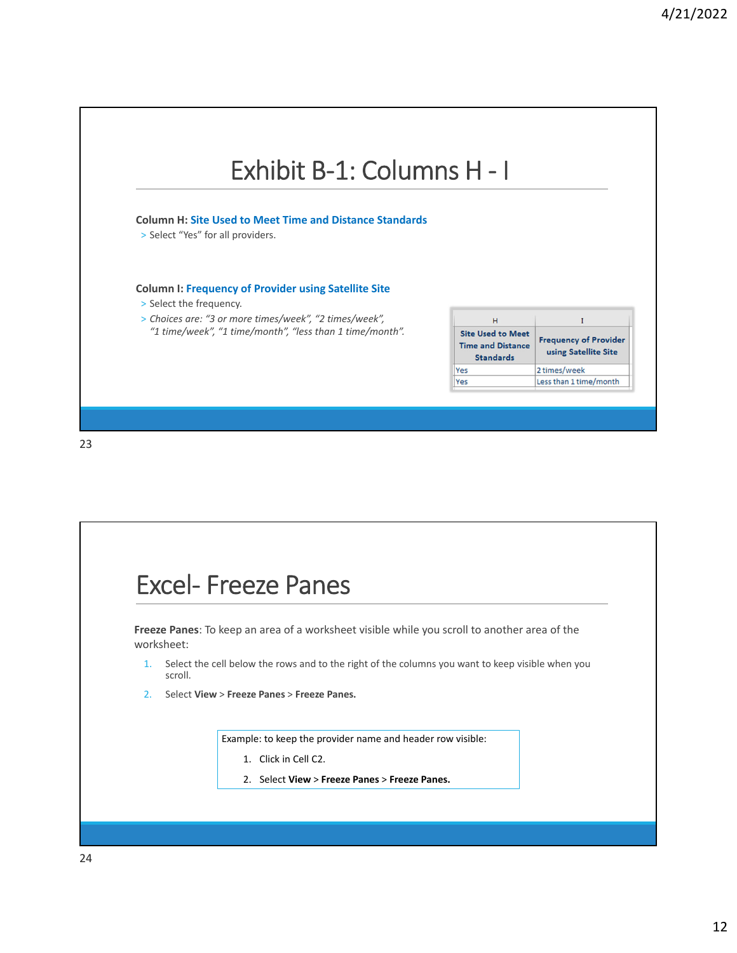

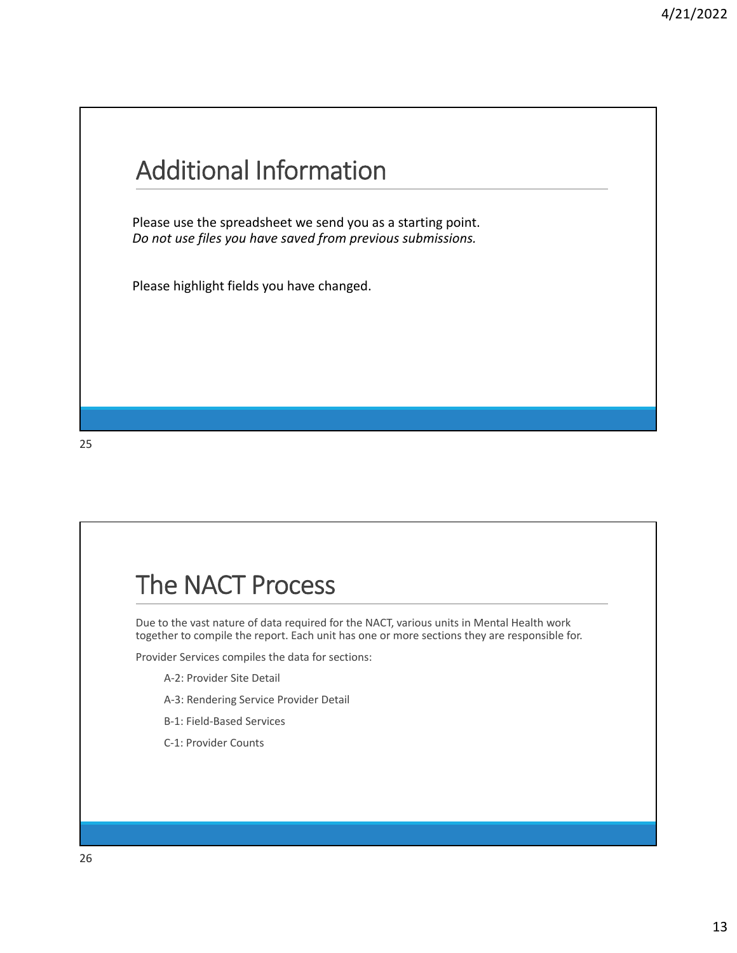### Additional Information

Please use the spreadsheet we send you as a starting point. *Do not use files you have saved from previous submissions.*

Please highlight fields you have changed.

### The NACT Process

Due to the vast nature of data required for the NACT, various units in Mental Health work together to compile the report. Each unit has one or more sections they are responsible for.

Provider Services compiles the data for sections:

- A‐2: Provider Site Detail
- A‐3: Rendering Service Provider Detail
- B‐1: Field‐Based Services
- C‐1: Provider Counts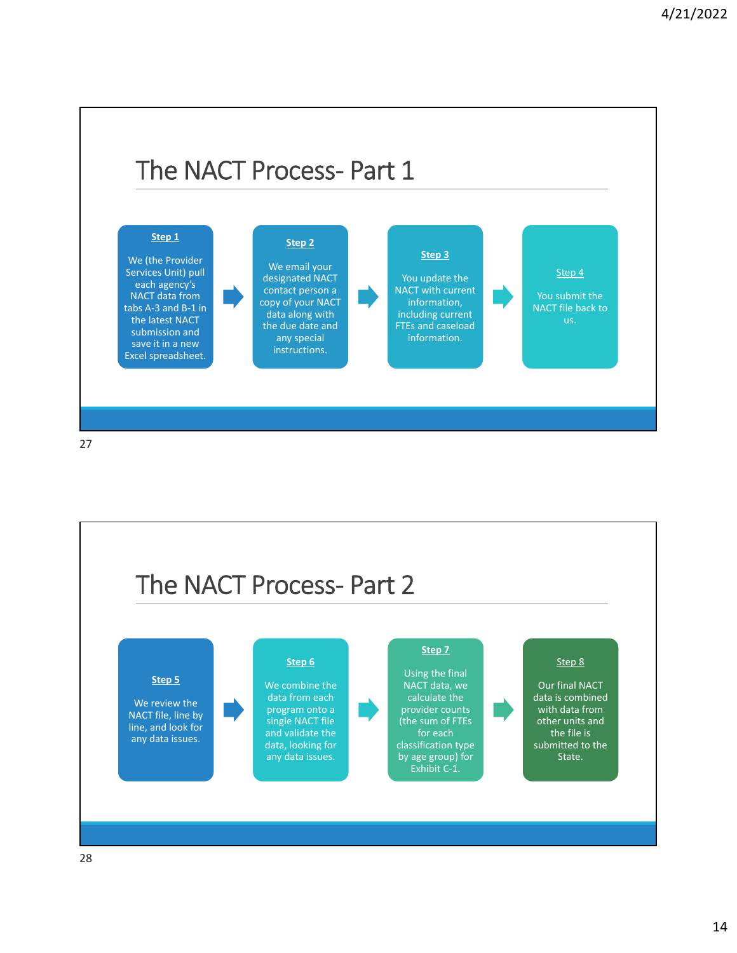

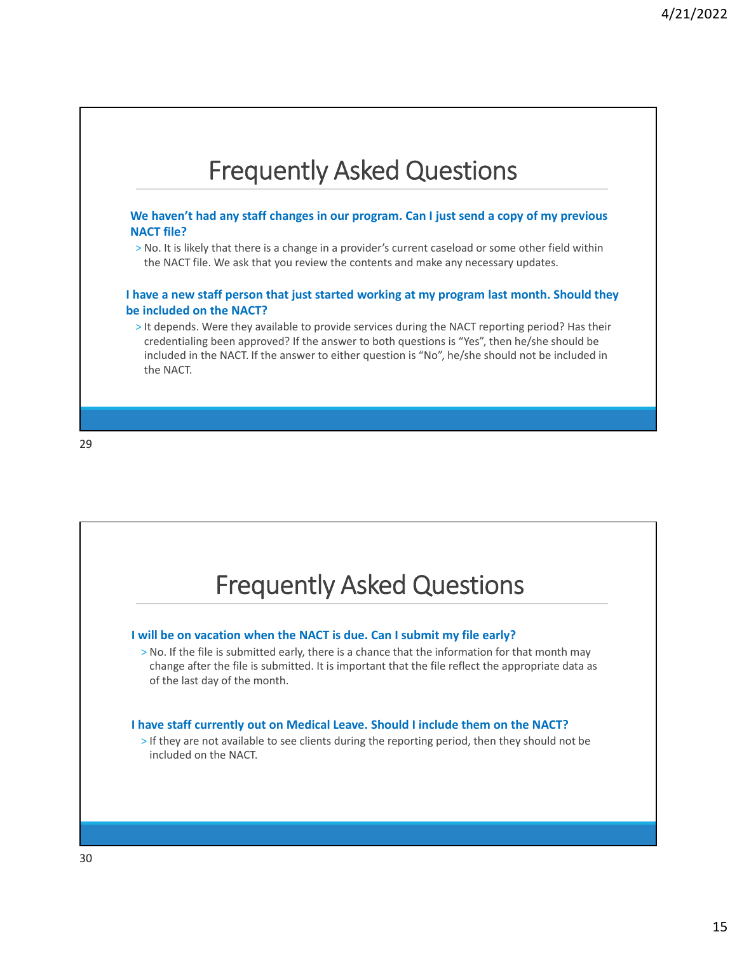

**We haven't had any staff changes in our program. Can I just send a copy of my previous NACT file?**

> No. It is likely that there is a change in a provider's current caseload or some other field within the NACT file. We ask that you review the contents and make any necessary updates.

**I have a new staff person that just started working at my program last month. Should they be included on the NACT?**

> It depends. Were they available to provide services during the NACT reporting period? Has their credentialing been approved? If the answer to both questions is "Yes", then he/she should be included in the NACT. If the answer to either question is "No", he/she should not be included in the NACT.